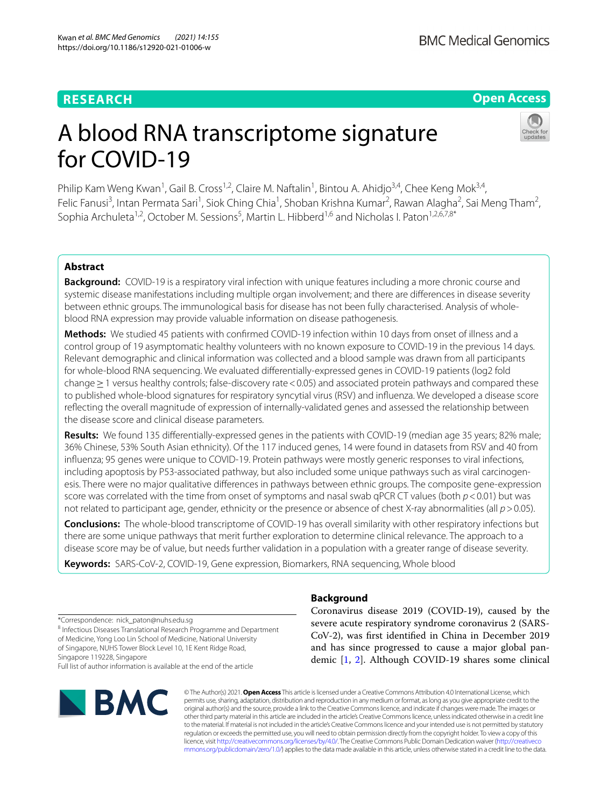# **RESEARCH**

# **Open Access**

# A blood RNA transcriptome signature for COVID-19



Philip Kam Weng Kwan<sup>1</sup>, Gail B. Cross<sup>1,2</sup>, Claire M. Naftalin<sup>1</sup>, Bintou A. Ahidjo<sup>3,4</sup>, Chee Keng Mok<sup>3,4</sup>, Felic Fanusi<sup>3</sup>, Intan Permata Sari<sup>1</sup>, Siok Ching Chia<sup>1</sup>, Shoban Krishna Kumar<sup>2</sup>, Rawan Alagha<sup>2</sup>, Sai Meng Tham<sup>2</sup>, Sophia Archuleta<sup>1,2</sup>, October M. Sessions<sup>5</sup>, Martin L. Hibberd<sup>1,6</sup> and Nicholas I. Paton<sup>1,2,6,7,8\*</sup>

# **Abstract**

**Background:** COVID-19 is a respiratory viral infection with unique features including a more chronic course and systemic disease manifestations including multiple organ involvement; and there are diferences in disease severity between ethnic groups. The immunological basis for disease has not been fully characterised. Analysis of wholeblood RNA expression may provide valuable information on disease pathogenesis.

**Methods:** We studied 45 patients with confrmed COVID-19 infection within 10 days from onset of illness and a control group of 19 asymptomatic healthy volunteers with no known exposure to COVID-19 in the previous 14 days. Relevant demographic and clinical information was collected and a blood sample was drawn from all participants for whole-blood RNA sequencing. We evaluated diferentially-expressed genes in COVID-19 patients (log2 fold change≥1 versus healthy controls; false-discovery rate<0.05) and associated protein pathways and compared these to published whole-blood signatures for respiratory syncytial virus (RSV) and infuenza. We developed a disease score refecting the overall magnitude of expression of internally-validated genes and assessed the relationship between the disease score and clinical disease parameters.

**Results:** We found 135 diferentially-expressed genes in the patients with COVID-19 (median age 35 years; 82% male; 36% Chinese, 53% South Asian ethnicity). Of the 117 induced genes, 14 were found in datasets from RSV and 40 from infuenza; 95 genes were unique to COVID-19. Protein pathways were mostly generic responses to viral infections, including apoptosis by P53-associated pathway, but also included some unique pathways such as viral carcinogenesis. There were no major qualitative diferences in pathways between ethnic groups. The composite gene-expression score was correlated with the time from onset of symptoms and nasal swab qPCR CT values (both *p*<0.01) but was not related to participant age, gender, ethnicity or the presence or absence of chest X-ray abnormalities (all  $p > 0.05$ ).

**Conclusions:** The whole-blood transcriptome of COVID-19 has overall similarity with other respiratory infections but there are some unique pathways that merit further exploration to determine clinical relevance. The approach to a disease score may be of value, but needs further validation in a population with a greater range of disease severity.

**Keywords:** SARS-CoV-2, COVID-19, Gene expression, Biomarkers, RNA sequencing, Whole blood

\*Correspondence: nick\_paton@nuhs.edu.sg

<sup>8</sup> Infectious Diseases Translational Research Programme and Department of Medicine, Yong Loo Lin School of Medicine, National University of Singapore, NUHS Tower Block Level 10, 1E Kent Ridge Road,

Singapore 119228, Singapore

Full list of author information is available at the end of the article



# **Background**

Coronavirus disease 2019 (COVID-19), caused by the severe acute respiratory syndrome coronavirus 2 (SARS-CoV-2), was frst identifed in China in December 2019 and has since progressed to cause a major global pandemic [[1,](#page-6-0) [2\]](#page-6-1). Although COVID-19 shares some clinical

© The Author(s) 2021. **Open Access** This article is licensed under a Creative Commons Attribution 4.0 International License, which permits use, sharing, adaptation, distribution and reproduction in any medium or format, as long as you give appropriate credit to the original author(s) and the source, provide a link to the Creative Commons licence, and indicate if changes were made. The images or other third party material in this article are included in the article's Creative Commons licence, unless indicated otherwise in a credit line to the material. If material is not included in the article's Creative Commons licence and your intended use is not permitted by statutory regulation or exceeds the permitted use, you will need to obtain permission directly from the copyright holder. To view a copy of this licence, visit [http://creativecommons.org/licenses/by/4.0/.](http://creativecommons.org/licenses/by/4.0/) The Creative Commons Public Domain Dedication waiver ([http://creativeco](http://creativecommons.org/publicdomain/zero/1.0/) [mmons.org/publicdomain/zero/1.0/](http://creativecommons.org/publicdomain/zero/1.0/)) applies to the data made available in this article, unless otherwise stated in a credit line to the data.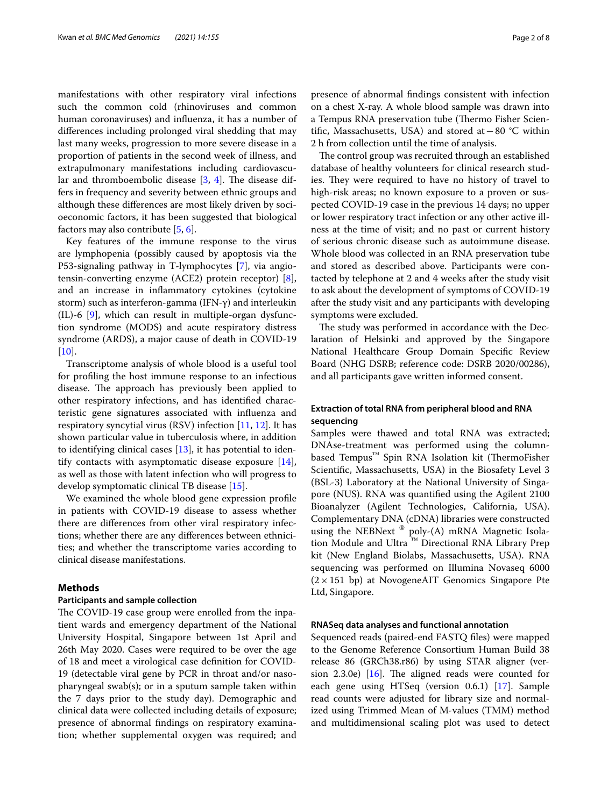manifestations with other respiratory viral infections such the common cold (rhinoviruses and common human coronaviruses) and infuenza, it has a number of diferences including prolonged viral shedding that may last many weeks, progression to more severe disease in a proportion of patients in the second week of illness, and extrapulmonary manifestations including cardiovascular and thromboembolic disease  $[3, 4]$  $[3, 4]$  $[3, 4]$  $[3, 4]$ . The disease differs in frequency and severity between ethnic groups and although these diferences are most likely driven by socioeconomic factors, it has been suggested that biological factors may also contribute [[5,](#page-6-4) [6](#page-6-5)].

Key features of the immune response to the virus are lymphopenia (possibly caused by apoptosis via the P53-signaling pathway in T-lymphocytes [[7\]](#page-6-6), via angiotensin-converting enzyme (ACE2) protein receptor) [\[8](#page-6-7)], and an increase in infammatory cytokines (cytokine storm) such as interferon-gamma (IFN-γ) and interleukin (IL)-6 [[9\]](#page-6-8), which can result in multiple-organ dysfunction syndrome (MODS) and acute respiratory distress syndrome (ARDS), a major cause of death in COVID-19  $[10]$  $[10]$ .

Transcriptome analysis of whole blood is a useful tool for profling the host immune response to an infectious disease. The approach has previously been applied to other respiratory infections, and has identifed characteristic gene signatures associated with infuenza and respiratory syncytial virus (RSV) infection [\[11](#page-6-10), [12\]](#page-6-11). It has shown particular value in tuberculosis where, in addition to identifying clinical cases [[13\]](#page-6-12), it has potential to identify contacts with asymptomatic disease exposure [\[14](#page-6-13)], as well as those with latent infection who will progress to develop symptomatic clinical TB disease [\[15](#page-6-14)].

We examined the whole blood gene expression profle in patients with COVID-19 disease to assess whether there are diferences from other viral respiratory infections; whether there are any diferences between ethnicities; and whether the transcriptome varies according to clinical disease manifestations.

## **Methods**

## **Participants and sample collection**

The COVID-19 case group were enrolled from the inpatient wards and emergency department of the National University Hospital, Singapore between 1st April and 26th May 2020. Cases were required to be over the age of 18 and meet a virological case defnition for COVID-19 (detectable viral gene by PCR in throat and/or nasopharyngeal swab(s); or in a sputum sample taken within the 7 days prior to the study day). Demographic and clinical data were collected including details of exposure; presence of abnormal fndings on respiratory examination; whether supplemental oxygen was required; and presence of abnormal fndings consistent with infection on a chest X-ray. A whole blood sample was drawn into a Tempus RNA preservation tube (Thermo Fisher Scientifc, Massachusetts, USA) and stored at−80 °C within 2 h from collection until the time of analysis.

The control group was recruited through an established database of healthy volunteers for clinical research studies. They were required to have no history of travel to high-risk areas; no known exposure to a proven or suspected COVID-19 case in the previous 14 days; no upper or lower respiratory tract infection or any other active illness at the time of visit; and no past or current history of serious chronic disease such as autoimmune disease. Whole blood was collected in an RNA preservation tube and stored as described above. Participants were contacted by telephone at 2 and 4 weeks after the study visit to ask about the development of symptoms of COVID-19 after the study visit and any participants with developing symptoms were excluded.

The study was performed in accordance with the Declaration of Helsinki and approved by the Singapore National Healthcare Group Domain Specifc Review Board (NHG DSRB; reference code: DSRB 2020/00286), and all participants gave written informed consent.

# **Extraction of total RNA from peripheral blood and RNA sequencing**

Samples were thawed and total RNA was extracted; DNAse-treatment was performed using the columnbased Tempus<sup>™</sup> Spin RNA Isolation kit (ThermoFisher Scientifc, Massachusetts, USA) in the Biosafety Level 3 (BSL-3) Laboratory at the National University of Singapore (NUS). RNA was quantifed using the Agilent 2100 Bioanalyzer (Agilent Technologies, California, USA). Complementary DNA (cDNA) libraries were constructed using the NEBNext ® poly-(A) mRNA Magnetic Isolation Module and Ultra ™ Directional RNA Library Prep kit (New England Biolabs, Massachusetts, USA). RNA sequencing was performed on Illumina Novaseq 6000  $(2 \times 151$  bp) at NovogeneAIT Genomics Singapore Pte Ltd, Singapore.

#### **RNASeq data analyses and functional annotation**

Sequenced reads (paired-end FASTQ fles) were mapped to the Genome Reference Consortium Human Build 38 release 86 (GRCh38.r86) by using STAR aligner (version 2.3.0e)  $[16]$  $[16]$ . The aligned reads were counted for each gene using HTSeq (version 0.6.1) [\[17](#page-6-16)]. Sample read counts were adjusted for library size and normalized using Trimmed Mean of M-values (TMM) method and multidimensional scaling plot was used to detect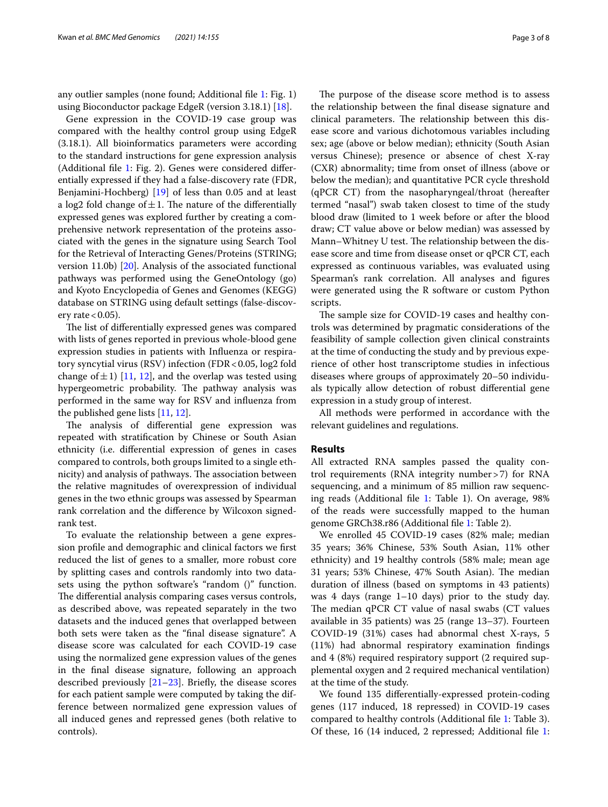any outlier samples (none found; Additional fle [1](#page-6-17): Fig. 1) using Bioconductor package EdgeR (version 3.18.1) [[18\]](#page-6-18).

Gene expression in the COVID-19 case group was compared with the healthy control group using EdgeR (3.18.1). All bioinformatics parameters were according to the standard instructions for gene expression analysis (Additional fle [1:](#page-6-17) Fig. 2). Genes were considered diferentially expressed if they had a false-discovery rate (FDR, Benjamini-Hochberg) [[19\]](#page-6-19) of less than 0.05 and at least a log2 fold change of  $\pm 1$ . The nature of the differentially expressed genes was explored further by creating a comprehensive network representation of the proteins associated with the genes in the signature using Search Tool for the Retrieval of Interacting Genes/Proteins (STRING; version 11.0b) [\[20\]](#page-6-20). Analysis of the associated functional pathways was performed using the GeneOntology (go) and Kyoto Encyclopedia of Genes and Genomes (KEGG) database on STRING using default settings (false-discovery rate  $< 0.05$ ).

The list of differentially expressed genes was compared with lists of genes reported in previous whole-blood gene expression studies in patients with Infuenza or respiratory syncytial virus (RSV) infection (FDR < 0.05, log2 fold change of  $\pm$ 1) [\[11](#page-6-10), [12](#page-6-11)], and the overlap was tested using hypergeometric probability. The pathway analysis was performed in the same way for RSV and infuenza from the published gene lists [\[11](#page-6-10), [12\]](#page-6-11).

The analysis of differential gene expression was repeated with stratifcation by Chinese or South Asian ethnicity (i.e. diferential expression of genes in cases compared to controls, both groups limited to a single ethnicity) and analysis of pathways. The association between the relative magnitudes of overexpression of individual genes in the two ethnic groups was assessed by Spearman rank correlation and the diference by Wilcoxon signedrank test.

To evaluate the relationship between a gene expression profle and demographic and clinical factors we frst reduced the list of genes to a smaller, more robust core by splitting cases and controls randomly into two datasets using the python software's "random ()" function. The differential analysis comparing cases versus controls, as described above, was repeated separately in the two datasets and the induced genes that overlapped between both sets were taken as the "fnal disease signature". A disease score was calculated for each COVID-19 case using the normalized gene expression values of the genes in the fnal disease signature, following an approach described previously [\[21–](#page-6-21)[23\]](#page-7-0). Briefy, the disease scores for each patient sample were computed by taking the difference between normalized gene expression values of all induced genes and repressed genes (both relative to controls).

The purpose of the disease score method is to assess the relationship between the fnal disease signature and clinical parameters. The relationship between this disease score and various dichotomous variables including sex; age (above or below median); ethnicity (South Asian versus Chinese); presence or absence of chest X-ray (CXR) abnormality; time from onset of illness (above or below the median); and quantitative PCR cycle threshold (qPCR CT) from the nasopharyngeal/throat (hereafter termed "nasal") swab taken closest to time of the study blood draw (limited to 1 week before or after the blood draw; CT value above or below median) was assessed by Mann–Whitney U test. The relationship between the disease score and time from disease onset or qPCR CT, each expressed as continuous variables, was evaluated using Spearman's rank correlation. All analyses and fgures were generated using the R software or custom Python scripts.

The sample size for COVID-19 cases and healthy controls was determined by pragmatic considerations of the feasibility of sample collection given clinical constraints at the time of conducting the study and by previous experience of other host transcriptome studies in infectious diseases where groups of approximately 20–50 individuals typically allow detection of robust diferential gene expression in a study group of interest.

All methods were performed in accordance with the relevant guidelines and regulations.

# **Results**

All extracted RNA samples passed the quality control requirements (RNA integrity number>7) for RNA sequencing, and a minimum of 85 million raw sequencing reads (Additional fle [1](#page-6-17): Table 1). On average, 98% of the reads were successfully mapped to the human genome GRCh38.r86 (Additional fle [1:](#page-6-17) Table 2).

We enrolled 45 COVID-19 cases (82% male; median 35 years; 36% Chinese, 53% South Asian, 11% other ethnicity) and 19 healthy controls (58% male; mean age 31 years; 53% Chinese, 47% South Asian). The median duration of illness (based on symptoms in 43 patients) was 4 days (range 1–10 days) prior to the study day. The median qPCR CT value of nasal swabs (CT values available in 35 patients) was 25 (range 13–37). Fourteen COVID-19 (31%) cases had abnormal chest X-rays, 5 (11%) had abnormal respiratory examination fndings and 4 (8%) required respiratory support (2 required supplemental oxygen and 2 required mechanical ventilation) at the time of the study.

We found 135 diferentially-expressed protein-coding genes (117 induced, 18 repressed) in COVID-19 cases compared to healthy controls (Additional fle [1](#page-6-17): Table 3). Of these, 16 (14 induced, 2 repressed; Additional fle [1](#page-6-17):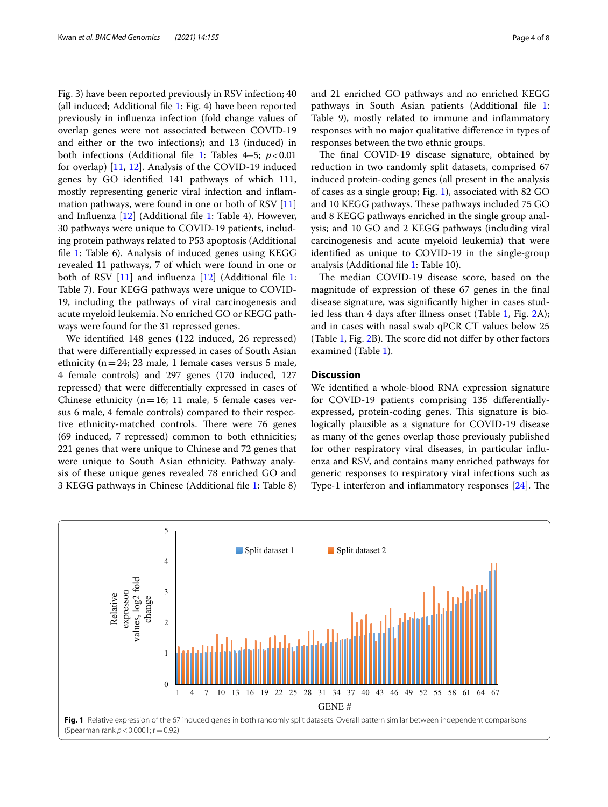Fig. 3) have been reported previously in RSV infection; 40 (all induced; Additional fle [1:](#page-6-17) Fig. 4) have been reported previously in infuenza infection (fold change values of overlap genes were not associated between COVID-19 and either or the two infections); and 13 (induced) in both infections (Additional fle [1:](#page-6-17) Tables 4–5; *p*<0.01 for overlap) [\[11,](#page-6-10) [12](#page-6-11)]. Analysis of the COVID-19 induced genes by GO identifed 141 pathways of which 111, mostly representing generic viral infection and infammation pathways, were found in one or both of RSV [[11](#page-6-10)] and Infuenza [\[12\]](#page-6-11) (Additional fle [1](#page-6-17): Table 4). However, 30 pathways were unique to COVID-19 patients, including protein pathways related to P53 apoptosis (Additional file [1:](#page-6-17) Table 6). Analysis of induced genes using KEGG revealed 11 pathways, 7 of which were found in one or both of RSV [\[11](#page-6-10)] and influenza [[12\]](#page-6-11) (Additional file [1](#page-6-17): Table 7). Four KEGG pathways were unique to COVID-19, including the pathways of viral carcinogenesis and acute myeloid leukemia. No enriched GO or KEGG pathways were found for the 31 repressed genes.

We identifed 148 genes (122 induced, 26 repressed) that were diferentially expressed in cases of South Asian ethnicity ( $n=24$ ; 23 male, 1 female cases versus 5 male, 4 female controls) and 297 genes (170 induced, 127 repressed) that were diferentially expressed in cases of Chinese ethnicity ( $n=16$ ; 11 male, 5 female cases versus 6 male, 4 female controls) compared to their respective ethnicity-matched controls. There were 76 genes (69 induced, 7 repressed) common to both ethnicities; 221 genes that were unique to Chinese and 72 genes that were unique to South Asian ethnicity. Pathway analysis of these unique genes revealed 78 enriched GO and 3 KEGG pathways in Chinese (Additional fle [1](#page-6-17): Table 8) and 21 enriched GO pathways and no enriched KEGG pathways in South Asian patients (Additional fle [1](#page-6-17): Table 9), mostly related to immune and infammatory responses with no major qualitative diference in types of responses between the two ethnic groups.

The final COVID-19 disease signature, obtained by reduction in two randomly split datasets, comprised 67 induced protein-coding genes (all present in the analysis of cases as a single group; Fig. [1](#page-3-0)), associated with 82 GO and 10 KEGG pathways. These pathways included 75 GO and 8 KEGG pathways enriched in the single group analysis; and 10 GO and 2 KEGG pathways (including viral carcinogenesis and acute myeloid leukemia) that were identifed as unique to COVID-19 in the single-group analysis (Additional fle [1](#page-6-17): Table 10).

The median COVID-19 disease score, based on the magnitude of expression of these 67 genes in the fnal disease signature, was signifcantly higher in cases studied less than 4 days after illness onset (Table [1](#page-4-0), Fig. [2](#page-4-1)A); and in cases with nasal swab qPCR CT values below 25 (Table  $1$ , Fig.  $2B$ ). The score did not differ by other factors examined (Table [1\)](#page-4-0).

# **Discussion**

We identifed a whole-blood RNA expression signature for COVID-19 patients comprising 135 diferentiallyexpressed, protein-coding genes. This signature is biologically plausible as a signature for COVID-19 disease as many of the genes overlap those previously published for other respiratory viral diseases, in particular infuenza and RSV, and contains many enriched pathways for generic responses to respiratory viral infections such as Type-1 interferon and inflammatory responses  $[24]$  $[24]$ . The

<span id="page-3-0"></span>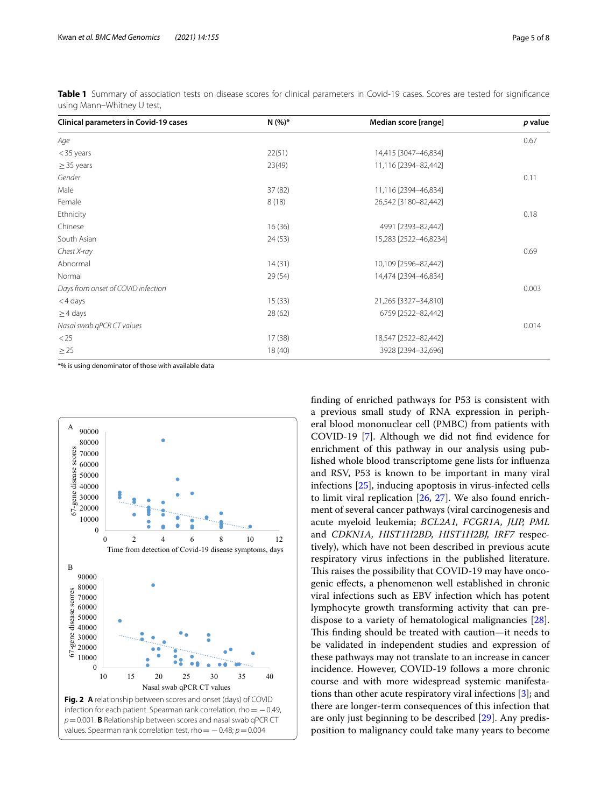| <b>Clinical parameters in Covid-19 cases</b> | $N(%)*$ | Median score [range]  | p value |
|----------------------------------------------|---------|-----------------------|---------|
| Age                                          |         |                       | 0.67    |
| $<$ 35 years                                 | 22(51)  | 14,415 [3047-46,834]  |         |
| $\geq$ 35 years                              | 23(49)  | 11,116 [2394-82,442]  |         |
| Gender                                       |         |                       | 0.11    |
| Male                                         | 37(82)  | 11,116 [2394-46,834]  |         |
| Female                                       | 8(18)   | 26,542 [3180-82,442]  |         |
| Ethnicity                                    |         |                       | 0.18    |
| Chinese                                      | 16(36)  | 4991 [2393-82,442]    |         |
| South Asian                                  | 24(53)  | 15,283 [2522-46,8234] |         |
| Chest X-ray                                  |         |                       | 0.69    |
| Abnormal                                     | 14(31)  | 10,109 [2596-82,442]  |         |
| Normal                                       | 29(54)  | 14,474 [2394-46,834]  |         |
| Days from onset of COVID infection           |         |                       | 0.003   |
| <4 days                                      | 15(33)  | 21,265 [3327-34,810]  |         |
| $\geq$ 4 days                                | 28(62)  | 6759 [2522-82,442]    |         |
| Nasal swab qPCR CT values                    |         |                       | 0.014   |
| < 25                                         | 17(38)  | 18,547 [2522-82,442]  |         |
| $\geq$ 25                                    | 18(40)  | 3928 [2394-32,696]    |         |

<span id="page-4-0"></span>**Table 1** Summary of association tests on disease scores for clinical parameters in Covid-19 cases. Scores are tested for signifcance using Mann–Whitney U test,

\*% is using denominator of those with available data

<span id="page-4-1"></span>

fnding of enriched pathways for P53 is consistent with a previous small study of RNA expression in peripheral blood mononuclear cell (PMBC) from patients with COVID-19 [[7](#page-6-6)]. Although we did not fnd evidence for enrichment of this pathway in our analysis using published whole blood transcriptome gene lists for infuenza and RSV, P53 is known to be important in many viral infections [\[25\]](#page-7-2), inducing apoptosis in virus-infected cells to limit viral replication [[26,](#page-7-3) [27](#page-7-4)]. We also found enrichment of several cancer pathways (viral carcinogenesis and acute myeloid leukemia; *BCL2A1, FCGR1A, JUP, PML* and *CDKN1A, HIST1H2BD, HIST1H2BJ, IRF7* respectively), which have not been described in previous acute respiratory virus infections in the published literature. This raises the possibility that COVID-19 may have oncogenic efects, a phenomenon well established in chronic viral infections such as EBV infection which has potent lymphocyte growth transforming activity that can predispose to a variety of hematological malignancies [\[28](#page-7-5)]. This finding should be treated with caution—it needs to be validated in independent studies and expression of these pathways may not translate to an increase in cancer incidence. However, COVID-19 follows a more chronic course and with more widespread systemic manifestations than other acute respiratory viral infections [[3\]](#page-6-2); and there are longer-term consequences of this infection that are only just beginning to be described [[29\]](#page-7-6). Any predisposition to malignancy could take many years to become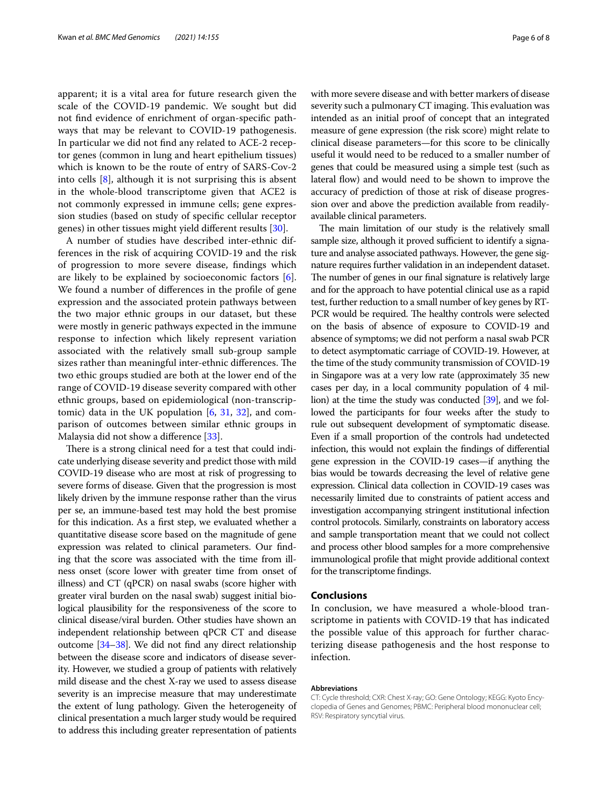apparent; it is a vital area for future research given the scale of the COVID-19 pandemic. We sought but did not fnd evidence of enrichment of organ-specifc pathways that may be relevant to COVID-19 pathogenesis. In particular we did not fnd any related to ACE-2 receptor genes (common in lung and heart epithelium tissues) which is known to be the route of entry of SARS-Cov-2 into cells [[8\]](#page-6-7), although it is not surprising this is absent in the whole-blood transcriptome given that ACE2 is not commonly expressed in immune cells; gene expression studies (based on study of specifc cellular receptor genes) in other tissues might yield diferent results [\[30\]](#page-7-7).

A number of studies have described inter-ethnic differences in the risk of acquiring COVID-19 and the risk of progression to more severe disease, fndings which are likely to be explained by socioeconomic factors [\[6](#page-6-5)]. We found a number of diferences in the profle of gene expression and the associated protein pathways between the two major ethnic groups in our dataset, but these were mostly in generic pathways expected in the immune response to infection which likely represent variation associated with the relatively small sub-group sample sizes rather than meaningful inter-ethnic differences. The two ethic groups studied are both at the lower end of the range of COVID-19 disease severity compared with other ethnic groups, based on epidemiological (non-transcriptomic) data in the UK population [\[6](#page-6-5), [31,](#page-7-8) [32](#page-7-9)], and comparison of outcomes between similar ethnic groups in Malaysia did not show a diference [[33\]](#page-7-10).

There is a strong clinical need for a test that could indicate underlying disease severity and predict those with mild COVID-19 disease who are most at risk of progressing to severe forms of disease. Given that the progression is most likely driven by the immune response rather than the virus per se, an immune-based test may hold the best promise for this indication. As a frst step, we evaluated whether a quantitative disease score based on the magnitude of gene expression was related to clinical parameters. Our fnding that the score was associated with the time from illness onset (score lower with greater time from onset of illness) and CT (qPCR) on nasal swabs (score higher with greater viral burden on the nasal swab) suggest initial biological plausibility for the responsiveness of the score to clinical disease/viral burden. Other studies have shown an independent relationship between qPCR CT and disease outcome [\[34](#page-7-11)[–38\]](#page-7-12). We did not fnd any direct relationship between the disease score and indicators of disease severity. However, we studied a group of patients with relatively mild disease and the chest X-ray we used to assess disease severity is an imprecise measure that may underestimate the extent of lung pathology. Given the heterogeneity of clinical presentation a much larger study would be required to address this including greater representation of patients with more severe disease and with better markers of disease severity such a pulmonary CT imaging. This evaluation was intended as an initial proof of concept that an integrated measure of gene expression (the risk score) might relate to clinical disease parameters—for this score to be clinically useful it would need to be reduced to a smaller number of genes that could be measured using a simple test (such as lateral flow) and would need to be shown to improve the accuracy of prediction of those at risk of disease progression over and above the prediction available from readilyavailable clinical parameters.

The main limitation of our study is the relatively small sample size, although it proved sufficient to identify a signature and analyse associated pathways. However, the gene signature requires further validation in an independent dataset. The number of genes in our final signature is relatively large and for the approach to have potential clinical use as a rapid test, further reduction to a small number of key genes by RT-PCR would be required. The healthy controls were selected on the basis of absence of exposure to COVID-19 and absence of symptoms; we did not perform a nasal swab PCR to detect asymptomatic carriage of COVID-19. However, at the time of the study community transmission of COVID-19 in Singapore was at a very low rate (approximately 35 new cases per day, in a local community population of 4 million) at the time the study was conducted [\[39](#page-7-13)], and we followed the participants for four weeks after the study to rule out subsequent development of symptomatic disease. Even if a small proportion of the controls had undetected infection, this would not explain the fndings of diferential gene expression in the COVID-19 cases—if anything the bias would be towards decreasing the level of relative gene expression. Clinical data collection in COVID-19 cases was necessarily limited due to constraints of patient access and investigation accompanying stringent institutional infection control protocols. Similarly, constraints on laboratory access and sample transportation meant that we could not collect and process other blood samples for a more comprehensive immunological profle that might provide additional context for the transcriptome fndings.

# **Conclusions**

In conclusion, we have measured a whole-blood transcriptome in patients with COVID-19 that has indicated the possible value of this approach for further characterizing disease pathogenesis and the host response to infection.

#### **Abbreviations**

CT: Cycle threshold; CXR: Chest X-ray; GO: Gene Ontology; KEGG: Kyoto Encyclopedia of Genes and Genomes; PBMC: Peripheral blood mononuclear cell; RSV: Respiratory syncytial virus.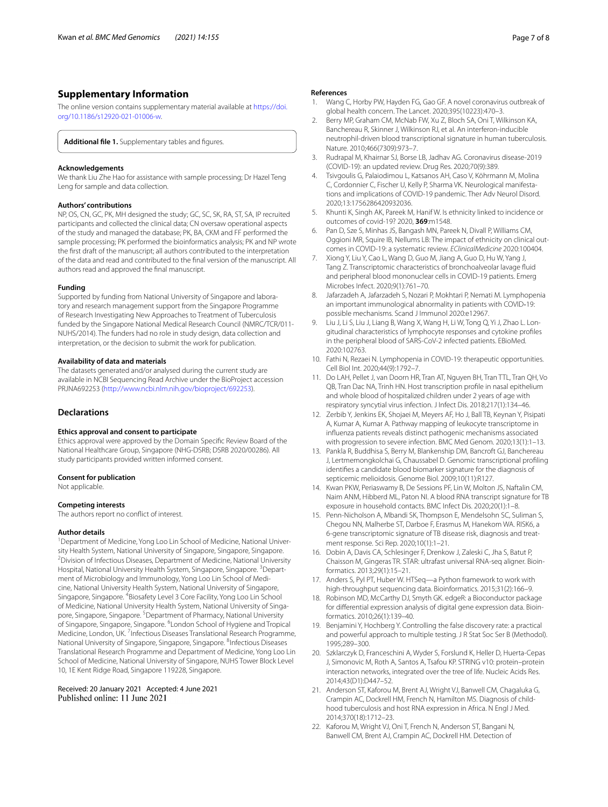# **Supplementary Information**

The online version contains supplementary material available at [https://doi.](https://doi.org/10.1186/s12920-021-01006-w) [org/10.1186/s12920-021-01006-w.](https://doi.org/10.1186/s12920-021-01006-w)

<span id="page-6-17"></span>Additional file 1. Supplementary tables and figures.

#### **Acknowledgements**

We thank Liu Zhe Hao for assistance with sample processing; Dr Hazel Teng Leng for sample and data collection.

### **Authors' contributions**

NP, OS, CN, GC, PK, MH designed the study; GC, SC, SK, RA, ST, SA, IP recruited participants and collected the clinical data; CN oversaw operational aspects of the study and managed the database; PK, BA, CKM and FF performed the sample processing; PK performed the bioinformatics analysis; PK and NP wrote the frst draft of the manuscript; all authors contributed to the interpretation of the data and read and contributed to the fnal version of the manuscript. All authors read and approved the fnal manuscript.

#### **Funding**

Supported by funding from National University of Singapore and laboratory and research management support from the Singapore Programme of Research Investigating New Approaches to Treatment of Tuberculosis funded by the Singapore National Medical Research Council (NMRC/TCR/011- NUHS/2014). The funders had no role in study design, data collection and interpretation, or the decision to submit the work for publication.

#### **Availability of data and materials**

The datasets generated and/or analysed during the current study are available in NCBI Sequencing Read Archive under the BioProject accession PRJNA692253 (<http://www.ncbi.nlm.nih.gov/bioproject/692253>).

#### **Declarations**

#### **Ethics approval and consent to participate**

Ethics approval were approved by the Domain Specifc Review Board of the National Healthcare Group, Singapore (NHG-DSRB; DSRB 2020/00286). All study participants provided written informed consent.

#### **Consent for publication**

Not applicable.

#### **Competing interests**

The authors report no confict of interest.

#### **Author details**

<sup>1</sup> Department of Medicine, Yong Loo Lin School of Medicine, National University Health System, National University of Singapore, Singapore, Singapore. 2 <sup>2</sup> Division of Infectious Diseases, Department of Medicine, National University Hospital, National University Health System, Singapore, Singapore. <sup>3</sup>Department of Microbiology and Immunology, Yong Loo Lin School of Medicine, National University Health System, National University of Singapore, Singapore, Singapore. <sup>4</sup>Biosafety Level 3 Core Facility, Yong Loo Lin School of Medicine, National University Health System, National University of Singapore, Singapore, Singapore. <sup>5</sup> Department of Pharmacy, National University of Singapore, Singapore, Singapore. <sup>6</sup> London School of Hygiene and Tropical Medicine, London, UK.<sup>7</sup> Infectious Diseases Translational Research Programme, National University of Singapore, Singapore, Singapore. <sup>8</sup>Infectious Diseases Translational Research Programme and Department of Medicine, Yong Loo Lin School of Medicine, National University of Singapore, NUHS Tower Block Level 10, 1E Kent Ridge Road, Singapore 119228, Singapore.

Received: 20 January 2021 Accepted: 4 June 2021 Published online: 11 June 2021

#### **References**

- <span id="page-6-0"></span>1. Wang C, Horby PW, Hayden FG, Gao GF. A novel coronavirus outbreak of global health concern. The Lancet. 2020;395(10223):470–3.
- <span id="page-6-1"></span>2. Berry MP, Graham CM, McNab FW, Xu Z, Bloch SA, Oni T, Wilkinson KA, Banchereau R, Skinner J, Wilkinson RJ, et al. An interferon-inducible neutrophil-driven blood transcriptional signature in human tuberculosis. Nature. 2010;466(7309):973–7.
- <span id="page-6-2"></span>3. Rudrapal M, Khairnar SJ, Borse LB, Jadhav AG. Coronavirus disease-2019 (COVID-19): an updated review. Drug Res. 2020;70(9):389.
- <span id="page-6-3"></span>4. Tsivgoulis G, Palaiodimou L, Katsanos AH, Caso V, Köhrmann M, Molina C, Cordonnier C, Fischer U, Kelly P, Sharma VK. Neurological manifestations and implications of COVID-19 pandemic. Ther Adv Neurol Disord. 2020;13:1756286420932036.
- <span id="page-6-4"></span>5. Khunti K, Singh AK, Pareek M, Hanif W. Is ethnicity linked to incidence or outcomes of covid-19? 2020, **369**:m1548.
- <span id="page-6-5"></span>Pan D, Sze S, Minhas JS, Bangash MN, Pareek N, Divall P, Williams CM, Oggioni MR, Squire IB, Nellums LB: The impact of ethnicity on clinical outcomes in COVID-19: a systematic review. *EClinicalMedicine* 2020:100404.
- <span id="page-6-6"></span>7. Xiong Y, Liu Y, Cao L, Wang D, Guo M, Jiang A, Guo D, Hu W, Yang J, Tang Z. Transcriptomic characteristics of bronchoalveolar lavage fuid and peripheral blood mononuclear cells in COVID-19 patients. Emerg Microbes Infect. 2020;9(1):761–70.
- <span id="page-6-7"></span>8. Jafarzadeh A, Jafarzadeh S, Nozari P, Mokhtari P, Nemati M. Lymphopenia an important immunological abnormality in patients with COVID‐19: possible mechanisms. Scand J Immunol 2020:e12967.
- <span id="page-6-8"></span>9. Liu J, Li S, Liu J, Liang B, Wang X, Wang H, Li W, Tong Q, Yi J, Zhao L. Longitudinal characteristics of lymphocyte responses and cytokine profles in the peripheral blood of SARS-CoV-2 infected patients. EBioMed. 2020:102763.
- <span id="page-6-9"></span>10. Fathi N, Rezaei N. Lymphopenia in COVID-19: therapeutic opportunities. Cell Biol Int. 2020;44(9):1792–7.
- <span id="page-6-10"></span>11. Do LAH, Pellet J, van Doorn HR, Tran AT, Nguyen BH, Tran TTL, Tran QH, Vo QB, Tran Dac NA, Trinh HN. Host transcription profle in nasal epithelium and whole blood of hospitalized children under 2 years of age with respiratory syncytial virus infection. J Infect Dis. 2018;217(1):134–46.
- <span id="page-6-11"></span>12. Zerbib Y, Jenkins EK, Shojaei M, Meyers AF, Ho J, Ball TB, Keynan Y, Pisipati A, Kumar A, Kumar A. Pathway mapping of leukocyte transcriptome in infuenza patients reveals distinct pathogenic mechanisms associated with progression to severe infection. BMC Med Genom. 2020;13(1):1–13.
- <span id="page-6-12"></span>13. Pankla R, Buddhisa S, Berry M, Blankenship DM, Bancroft GJ, Banchereau J, Lertmemongkolchai G, Chaussabel D. Genomic transcriptional profling identifes a candidate blood biomarker signature for the diagnosis of septicemic melioidosis. Genome Biol. 2009;10(11):R127.
- <span id="page-6-13"></span>14. Kwan PKW, Periaswamy B, De Sessions PF, Lin W, Molton JS, Naftalin CM, Naim ANM, Hibberd ML, Paton NI. A blood RNA transcript signature for TB exposure in household contacts. BMC Infect Dis. 2020;20(1):1–8.
- <span id="page-6-14"></span>15. Penn-Nicholson A, Mbandi SK, Thompson E, Mendelsohn SC, Suliman S, Chegou NN, Malherbe ST, Darboe F, Erasmus M, Hanekom WA. RISK6, a 6-gene transcriptomic signature of TB disease risk, diagnosis and treatment response. Sci Rep. 2020;10(1):1–21.
- <span id="page-6-15"></span>16. Dobin A, Davis CA, Schlesinger F, Drenkow J, Zaleski C, Jha S, Batut P, Chaisson M, Gingeras TR. STAR: ultrafast universal RNA-seq aligner. Bioinformatics. 2013;29(1):15–21.
- <span id="page-6-16"></span>17. Anders S, Pyl PT, Huber W. HTSeq—a Python framework to work with high-throughput sequencing data. Bioinformatics. 2015;31(2):166–9.
- <span id="page-6-18"></span>18. Robinson MD, McCarthy DJ, Smyth GK. edgeR: a Bioconductor package for diferential expression analysis of digital gene expression data. Bioinformatics. 2010;26(1):139–40.
- <span id="page-6-19"></span>19. Benjamini Y, Hochberg Y. Controlling the false discovery rate: a practical and powerful approach to multiple testing. J R Stat Soc Ser B (Methodol). 1995;289–300.
- <span id="page-6-20"></span>20. Szklarczyk D, Franceschini A, Wyder S, Forslund K, Heller D, Huerta-Cepas J, Simonovic M, Roth A, Santos A, Tsafou KP. STRING v10: protein–protein interaction networks, integrated over the tree of life. Nucleic Acids Res. 2014;43(D1):D447–52.
- <span id="page-6-21"></span>21. Anderson ST, Kaforou M, Brent AJ, Wright VJ, Banwell CM, Chagaluka G, Crampin AC, Dockrell HM, French N, Hamilton MS. Diagnosis of childhood tuberculosis and host RNA expression in Africa. N Engl J Med. 2014;370(18):1712–23.
- 22. Kaforou M, Wright VJ, Oni T, French N, Anderson ST, Bangani N, Banwell CM, Brent AJ, Crampin AC, Dockrell HM. Detection of